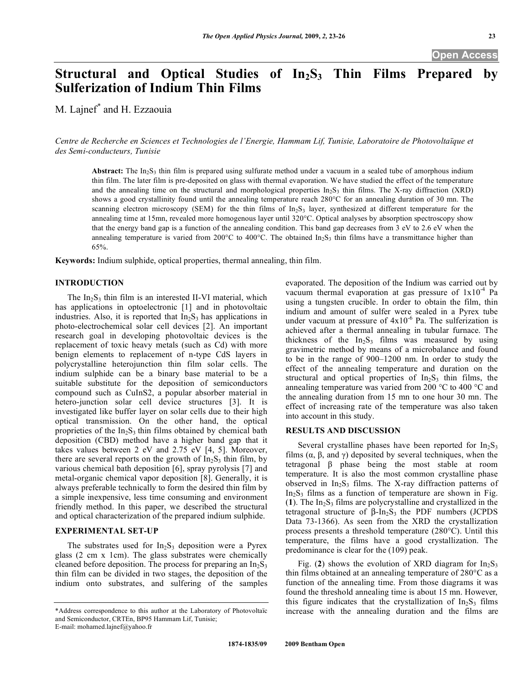# Structural and Optical Studies of In<sub>2</sub>S<sub>3</sub> Thin Films Prepared by **Sulferization of Indium Thin Films**

M. Lajnef\* and H. Ezzaouia

*Centre de Recherche en Sciences et Technologies de l'Energie, Hammam Lif, Tunisie, Laboratoire de Photovoltaïque et des Semi-conducteurs, Tunisie* 

**Abstract:** The  $In_2S_3$  thin film is prepared using sulfurate method under a vacuum in a sealed tube of amorphous indium thin film. The later film is pre-deposited on glass with thermal evaporation. We have studied the effect of the temperature and the annealing time on the structural and morphological properties  $In_2S_3$  thin films. The X-ray diffraction (XRD) shows a good crystallinity found until the annealing temperature reach 280°C for an annealing duration of 30 mn. The scanning electron microscopy (SEM) for the thin films of In<sub>2</sub>S<sub>3</sub> layer, synthesized at different temperature for the annealing time at 15mn, revealed more homogenous layer until 320°C. Optical analyses by absorption spectroscopy show that the energy band gap is a function of the annealing condition. This band gap decreases from 3 eV to 2.6 eV when the annealing temperature is varied from 200 $^{\circ}$ C to 400 $^{\circ}$ C. The obtained In<sub>2</sub>S<sub>3</sub> thin films have a transmittance higher than 65%.

**Keywords:** Indium sulphide, optical properties, thermal annealing, thin film.

### **INTRODUCTION**

The  $In_2S_3$  thin film is an interested II-VI material, which has applications in optoelectronic [1] and in photovoltaic industries. Also, it is reported that  $In<sub>2</sub>S<sub>3</sub>$  has applications in photo-electrochemical solar cell devices [2]. An important research goal in developing photovoltaic devices is the replacement of toxic heavy metals (such as Cd) with more benign elements to replacement of n-type CdS layers in polycrystalline heterojunction thin film solar cells. The indium sulphide can be a binary base material to be a suitable substitute for the deposition of semiconductors compound such as CuInS2, a popular absorber material in hetero-junction solar cell device structures [3]. It is investigated like buffer layer on solar cells due to their high optical transmission. On the other hand, the optical proprieties of the  $In<sub>2</sub>S<sub>3</sub>$  thin films obtained by chemical bath deposition (CBD) method have a higher band gap that it takes values between 2 eV and 2.75 eV [4, 5]. Moreover, there are several reports on the growth of  $In<sub>2</sub>S<sub>3</sub>$  thin film, by various chemical bath deposition [6], spray pyrolysis [7] and metal-organic chemical vapor deposition [8]. Generally, it is always preferable technically to form the desired thin film by a simple inexpensive, less time consuming and environment friendly method. In this paper, we described the structural and optical characterization of the prepared indium sulphide.

## **EXPERIMENTAL SET-UP**

The substrates used for  $In<sub>2</sub>S<sub>3</sub>$  deposition were a Pyrex glass (2 cm x 1cm). The glass substrates were chemically cleaned before deposition. The process for preparing an  $In_2S_3$ thin film can be divided in two stages, the deposition of the indium onto substrates, and sulfering of the samples

evaporated. The deposition of the Indium was carried out by vacuum thermal evaporation at gas pressure of  $1x10^{-4}$  Pa using a tungsten crucible. In order to obtain the film, thin indium and amount of sulfer were sealed in a Pyrex tube under vacuum at pressure of  $4x10^{-6}$  Pa. The sulferization is achieved after a thermal annealing in tubular furnace. The thickness of the  $In_2S_3$  films was measured by using gravimetric method by means of a microbalance and found to be in the range of 900–1200 nm. In order to study the effect of the annealing temperature and duration on the structural and optical properties of  $In_2S_3$  thin films, the annealing temperature was varied from 200 °C to 400 °C and the annealing duration from 15 mn to one hour 30 mn. The effect of increasing rate of the temperature was also taken into account in this study.

### **RESULTS AND DISCUSSION**

Several crystalline phases have been reported for  $In<sub>2</sub>S<sub>3</sub>$ films  $(\alpha, \beta, \text{ and } \gamma)$  deposited by several techniques, when the tetragonal  $\beta$  phase being the most stable at room temperature. It is also the most common crystalline phase observed in  $In_2S_3$  films. The X-ray diffraction patterns of  $In_2S_3$  films as a function of temperature are shown in Fig.  $(1)$ . The In<sub>2</sub>S<sub>3</sub> films are polycrystalline and crystallized in the tetragonal structure of  $\beta$ -In<sub>2</sub>S<sub>3</sub> the PDF numbers (JCPDS Data 73-1366). As seen from the XRD the crystallization process presents a threshold temperature (280°C). Until this temperature, the films have a good crystallization. The predominance is clear for the (109) peak.

Fig. (2) shows the evolution of XRD diagram for  $In_2S_3$ thin films obtained at an annealing temperature of 280°C as a function of the annealing time. From those diagrams it was found the threshold annealing time is about 15 mn. However, this figure indicates that the crystallization of  $In<sub>2</sub>S<sub>3</sub>$  films increase with the annealing duration and the films are

<sup>\*</sup>Address correspondence to this author at the Laboratory of Photovoltaïc and Semiconductor, CRTEn, BP95 Hammam Lif, Tunisie; E-mail: mohamed.lajnef@yahoo.fr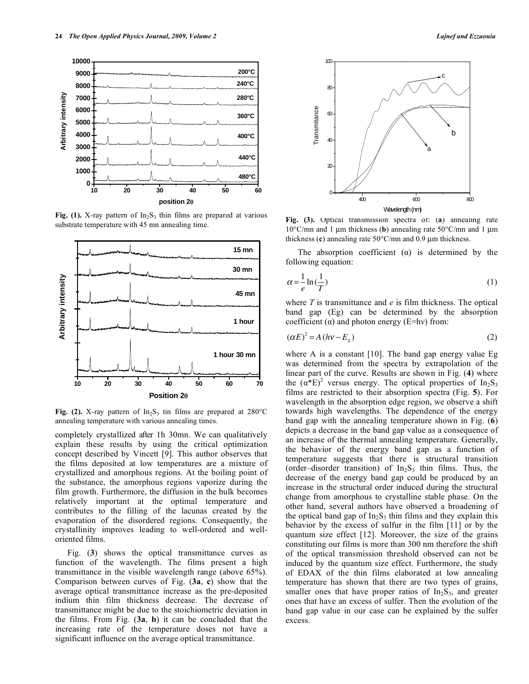

Fig. (1). X-ray pattern of  $In<sub>2</sub>S<sub>3</sub>$  thin films are prepared at various substrate temperature with 45 mn annealing time.



Fig. (2). X-ray pattern of  $In_2S_3$  tin films are prepared at  $280^{\circ}$ C annealing temperature with various annealing times.

completely crystallized after 1h 30mn. We can qualitatively explain these results by using the critical optimization concept described by Vincett [9]. This author observes that the films deposited at low temperatures are a mixture of crystallized and amorphous regions. At the boiling point of the substance, the amorphous regions vaporize during the film growth. Furthermore, the diffusion in the bulk becomes relatively important at the optimal temperature and contributes to the filling of the lacunas created by the evaporation of the disordered regions. Consequently, the crystallinity improves leading to well-ordered and welloriented films.

 Fig. (**3**) shows the optical transmittance curves as function of the wavelength. The films present a high transmittance in the visible wavelength range (above 65%). Comparison between curves of Fig. (**3a**, **c**) show that the average optical transmittance increase as the pre-deposited indium thin film thickness decrease. The decrease of transmittance might be due to the stoichiometric deviation in the films. From Fig. (**3a**, **b**) it can be concluded that the increasing rate of the temperature doses not have a significant influence on the average optical transmittance.



**Fig. (3).** Optical transmission spectra of: (**a**) annealing rate 10°C/mn and 1 μm thickness (**b**) annealing rate 50°C/mn and 1 μm thickness (**c**) annealing rate 50°C/mn and 0.9 μm thickness.

The absorption coefficient  $(\alpha)$  is determined by the following equation:

$$
\alpha = \frac{1}{e} \ln \left( \frac{1}{T} \right) \tag{1}
$$

where *T* is transmittance and *e* is film thickness. The optical band gap (Eg) can be determined by the absorption coefficient  $(\alpha)$  and photon energy (E=hv) from:

$$
(\alpha E)^2 = A(hv - E_g) \tag{2}
$$

where A is a constant [10]. The band gap energy value Eg was determined from the spectra by extrapolation of the linear part of the curve. Results are shown in Fig. (**4**) where the  $(\alpha^*E)^2$  versus energy. The optical properties of In<sub>2</sub>S<sub>3</sub> films are restricted to their absorption spectra (Fig. **5**). For wavelength in the absorption edge region, we observe a shift towards high wavelengths. The dependence of the energy band gap with the annealing temperature shown in Fig. (**6**) depicts a decrease in the band gap value as a consequence of an increase of the thermal annealing temperature. Generally, the behavior of the energy band gap as a function of temperature suggests that there is structural transition (order–disorder transition) of  $In_2S_3$  thin films. Thus, the decrease of the energy band gap could be produced by an increase in the structural order induced during the structural change from amorphous to crystalline stable phase. On the other hand, several authors have observed a broadening of the optical band gap of  $In<sub>2</sub>S<sub>3</sub>$  thin films and they explain this behavior by the excess of sulfur in the film [11] or by the quantum size effect [12]. Moreover, the size of the grains constituting our films is more than 300 nm therefore the shift of the optical transmission threshold observed can not be induced by the quantum size effect. Furthermore, the study of EDAX of the thin films elaborated at low annealing temperature has shown that there are two types of grains, smaller ones that have proper ratios of  $In_2S_3$ , and greater ones that have an excess of sulfer. Then the evolution of the band gap value in our case can be explained by the sulfer excess.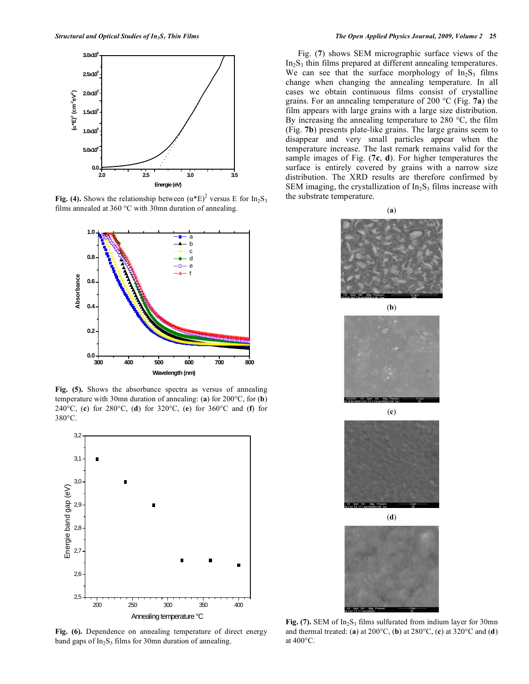

Fig. (4). Shows the relationship between  $(\alpha^*E)^2$  versus E for In<sub>2</sub>S<sub>3</sub> films annealed at 360 °C with 30mn duration of annealing.



**Fig. (5).** Shows the absorbance spectra as versus of annealing temperature with 30mn duration of annealing: (**a**) for 200°C, for (**b**) 240°C, (**c**) for 280°C, (**d**) for 320°C, (**e**) for 360°C and (**f**) for 380°C.



**Fig. (6).** Dependence on annealing temperature of direct energy band gaps of  $In<sub>2</sub>S<sub>3</sub>$  films for 30mn duration of annealing.

 Fig. (**7**) shows SEM micrographic surface views of the  $In_2S_3$  thin films prepared at different annealing temperatures. We can see that the surface morphology of  $In_2S_3$  films change when changing the annealing temperature. In all cases we obtain continuous films consist of crystalline grains. For an annealing temperature of 200 °C (Fig. **7a**) the film appears with large grains with a large size distribution. By increasing the annealing temperature to 280 °C, the film (Fig. **7b**) presents plate-like grains. The large grains seem to disappear and very small particles appear when the temperature increase. The last remark remains valid for the sample images of Fig. (**7c**, **d**). For higher temperatures the surface is entirely covered by grains with a narrow size distribution. The XRD results are therefore confirmed by SEM imaging, the crystallization of  $In<sub>2</sub>S<sub>3</sub>$  films increase with the substrate temperature.







(**d**)



Fig. (7). SEM of In<sub>2</sub>S<sub>3</sub> films sulfurated from indium layer for 30mn and thermal treated: (**a**) at 200°C, (**b**) at 280°C, (**c**) at 320°C and (**d**) at 400°C.